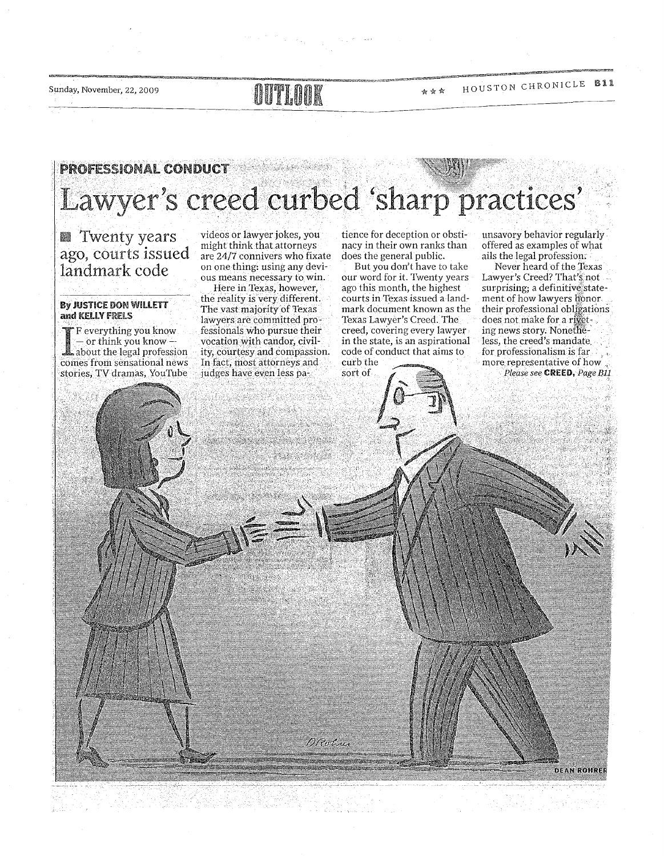Sunday, November, 22, 2009

## **ATTELATION**

#### HOUSTON CHRONICLE B11 ☆☆☆

## **PROFESSIONAL CONDUCT** ericher der er hannen. Lawyer's creed curbed 'sharp practices'

**N** Twenty years ago, courts issued<br>landmark code

### By JUSTICE DON WILLETT and KELLY FRELS

F everything you know - or think you know about the legal profession comes from sensational news stories, TV dramas, YouTube videos or lawyer jokes, you might think that attorneys are 24/7 connivers who fixate on one thing: using any devious means necessary to win. Here in Texas, however, the reality is very different. The vast maiority of Texas lawyers are committed professionals who pursue their vocation with candor, civility, courtesy and compassion. In fact, most attorneys and judges have even less pa-

1923년 2012년 10월<br>2012년 1월 20일

tience for deception or obstinacy in their own ranks than does the general public.

But you don't have to take our word for it. Twenty years ago this month, the highest courts in Texas issued a landmark document known as the Texas Lawyer's Creed. The creed, covering every lawyer in the state, is an aspirational code of conduct that aims to curb the

sort of

unsavory behavior regularly offered as examples of what ails the legal profession.

Never heard of the Texas Lawyer's Creed? That's not surprising; a definitive statement of how lawyers honor. their professional obligations does not make for a riveting news story. Nonetheless, the creed's mandate. for professionalism is  $far \sim$ . more representative of how. Please see CREED, Page B11

**DEAN ROHRER**